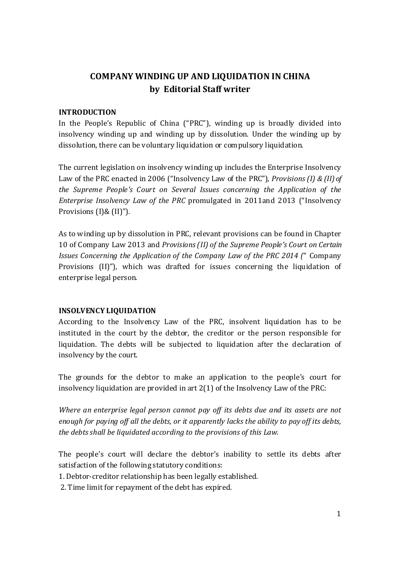# COMPANY WINDING UP AND LIQUIDATION IN CHINA by Editorial Staff writer

#### INTRODUCTION

In the People's Republic of China ("PRC"), winding up is broadly divided into insolvency winding up and winding up by dissolution. Under the winding up by dissolution, there can be voluntary liquidation or compulsory liquidation.

The current legislation on insolvency winding up includes the Enterprise Insolvency Law of the PRC enacted in 2006 ("Insolvency Law of the PRC"), Provisions (I) & (II) of the Supreme People's Court on Several Issues concerning the Application of the Enterprise Insolvency Law of the PRC promulgated in 2011and 2013 ("Insolvency Provisions (I)& (II)").

As to winding up by dissolution in PRC, relevant provisions can be found in Chapter 10 of Company Law 2013 and Provisions (II) of the Supreme People's Court on Certain Issues Concerning the Application of the Company Law of the PRC 2014 (" Company Provisions (II)"), which was drafted for issues concerning the liquidation of enterprise legal person.

#### INSOLVENCY LIQUIDATION

According to the Insolvency Law of the PRC, insolvent liquidation has to be instituted in the court by the debtor, the creditor or the person responsible for liquidation. The debts will be subjected to liquidation after the declaration of insolvency by the court.

The grounds for the debtor to make an application to the people's court for insolvency liquidation are provided in art 2(1) of the Insolvency Law of the PRC:

Where an enterprise legal person cannot pay off its debts due and its assets are not enough for paying off all the debts, or it apparently lacks the ability to pay off its debts, the debts shall be liquidated according to the provisions of this Law.

The people's court will declare the debtor's inability to settle its debts after satisfaction of the following statutory conditions:

1. Debtor-creditor relationship has been legally established.

2. Time limit for repayment of the debt has expired.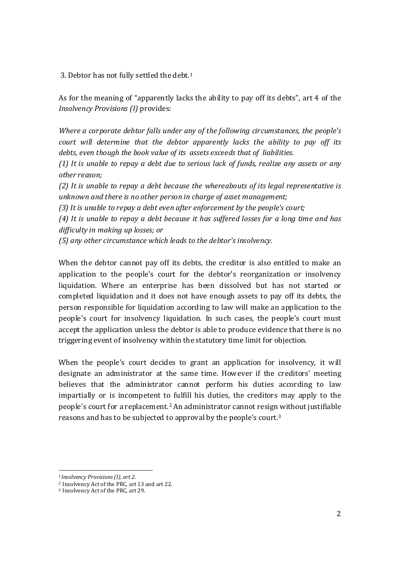3. Debtor has not fully settled the debt.<sup>1</sup>

As for the meaning of "apparently lacks the ability to pay off its debts", art 4 of the Insolvency Provisions (I) provides:

Where a corporate debtor falls under any of the following circumstances, the people's court will determine that the debtor apparently lacks the ability to pay off its debts, even though the book value of its assets exceeds that of liabilities.

(1) It is unable to repay a debt due to serious lack of funds, realize any assets or any other reason;

(2) It is unable to repay a debt because the whereabouts of its legal representative is unknown and there is no other person in charge of asset management;

(3) It is unable to repay a debt even after enforcement by the people's court;

(4) It is unable to repay a debt because it has suffered losses for a long time and has difficulty in making up losses; or

(5) any other circumstance which leads to the debtor's insolvency.

When the debtor cannot pay off its debts, the creditor is also entitled to make an application to the people's court for the debtor's reorganization or insolvency liquidation. Where an enterprise has been dissolved but has not started or completed liquidation and it does not have enough assets to pay off its debts, the person responsible for liquidation according to law will make an application to the people's court for insolvency liquidation. In such cases, the people's court must accept the application unless the debtor is able to produce evidence that there is no triggering event of insolvency within the statutory time limit for objection.

When the people's court decides to grant an application for insolvency, it will designate an administrator at the same time. However if the creditors' meeting believes that the administrator cannot perform his duties according to law impartially or is incompetent to fulfill his duties, the creditors may apply to the people's court for a replacement.<sup>2</sup> An administrator cannot resign without justifiable reasons and has to be subjected to approval by the people's court.<sup>3</sup>

 $\overline{a}$ <sup>1</sup>Insolvency Provisions (I), art 2.

<sup>2</sup> Insolvency Act of the PRC, art 13 and art 22.

<sup>3</sup> Insolvency Act of the PRC, art 29.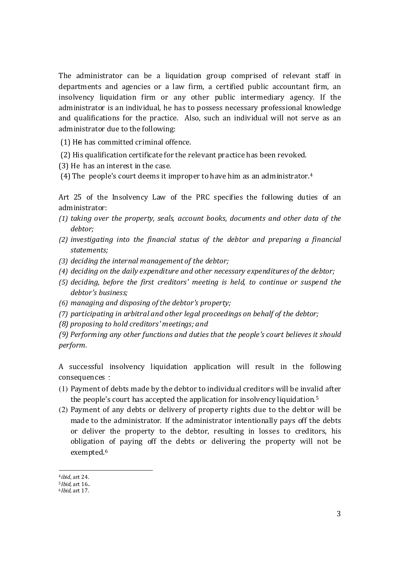The administrator can be a liquidation group comprised of relevant staff in departments and agencies or a law firm, a certified public accountant firm, an insolvency liquidation firm or any other public intermediary agency. If the administrator is an individual, he has to possess necessary professional knowledge and qualifications for the practice. Also, such an individual will not serve as an administrator due to the following:

(1) He has committed criminal offence.

- (2) His qualification certificate for the relevant practice has been revoked.
- (3) He has an interest in the case.
- (4) The people's court deems it improper to have him as an administrator.<sup>4</sup>

Art 25 of the Insolvency Law of the PRC specifies the following duties of an administrator:

- (1) taking over the property, seals, account books, documents and other data of the debtor;
- (2) investigating into the financial status of the debtor and preparing a financial statements;
- (3) deciding the internal management of the debtor;
- (4) deciding on the daily expenditure and other necessary expenditures of the debtor;
- (5) deciding, before the first creditors' meeting is held, to continue or suspend the debtor's business;
- (6) managing and disposing of the debtor's property;
- (7) participating in arbitral and other legal proceedings on behalf of the debtor;
- (8) proposing to hold creditors' meetings; and

(9) Performing any other functions and duties that the people's court believes it should perform.

A successful insolvency liquidation application will result in the following consequences:

- (1) Payment of debts made by the debtor to individual creditors will be invalid after the people's court has accepted the application for insolvency liquidation.<sup>5</sup>
- (2) Payment of any debts or delivery of property rights due to the debtor will be made to the administrator. If the administrator intentionally pays off the debts or deliver the property to the debtor, resulting in losses to creditors, his obligation of paying off the debts or delivering the property will not be exempted.<sup>6</sup>

 $\overline{a}$ <sup>4</sup>ibid, art 24.

 $5$ *Ibid.* art  $16$ .

<sup>6</sup>Ibid, art 17.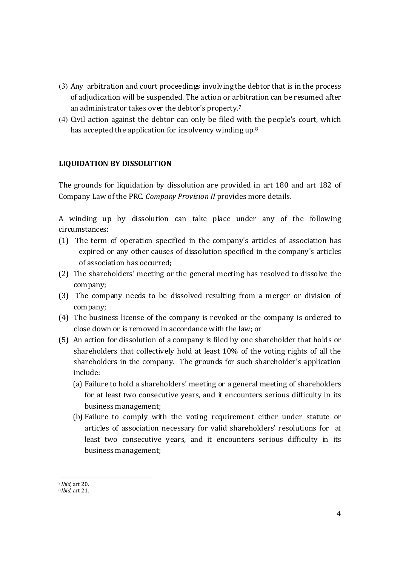- (3) Any arbitration and court proceedings involving the debtor that is in the process of adjudication will be suspended. The action or arbitration can be resumed after an administrator takes over the debtor's property.<sup>7</sup>
- (4) Civil action against the debtor can only be filed with the people's court, which has accepted the application for insolvency winding up.<sup>8</sup>

# LIQUIDATION BY DISSOLUTION

The grounds for liquidation by dissolution are provided in art 180 and art 182 of Company Law of the PRC. Company Provision II provides more details.

A winding up by dissolution can take place under any of the following circumstances:

- (1) The term of operation specified in the company's articles of association has expired or any other causes of dissolution specified in the company's articles of association has occurred;
- (2) The shareholders' meeting or the general meeting has resolved to dissolve the company;
- (3) The company needs to be dissolved resulting from a merger or division of company;
- (4) The business license of the company is revoked or the company is ordered to close down or is removed in accordance with the law; or
- (5) An action for dissolution of a company is filed by one shareholder that holds or shareholders that collectively hold at least 10% of the voting rights of all the shareholders in the company. The grounds for such shareholder's application include:
	- (a) Failure to hold a shareholders' meeting or a general meeting of shareholders for at least two consecutive years, and it encounters serious difficulty in its business management;
	- (b) Failure to comply with the voting requirement either under statute or articles of association necessary for valid shareholders' resolutions for at least two consecutive years, and it encounters serious difficulty in its business management;

 $\overline{a}$ <sup>7</sup>Ibid, art 20.

<sup>8</sup>Ibid, art 21.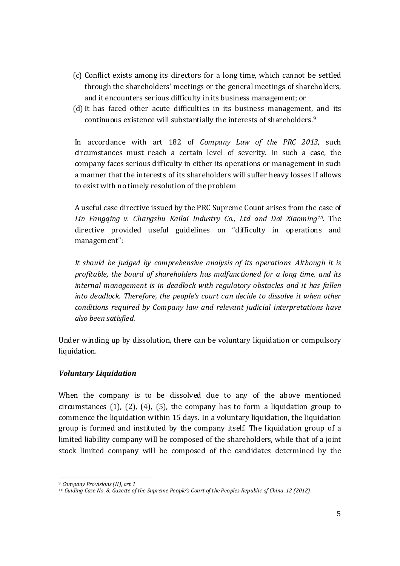- (c) Conflict exists among its directors for a long time, which cannot be settled through the shareholders' meetings or the general meetings of shareholders, and it encounters serious difficulty in its business management; or
- (d) It has faced other acute difficulties in its business management, and its continuous existence will substantially the interests of shareholders.<sup>9</sup>

In accordance with art 182 of Company Law of the PRC 2013, such circumstances must reach a certain level of severity. In such a case, the company faces serious difficulty in either its operations or management in such a manner that the interests of its shareholders will suffer heavy losses if allows to exist with no timely resolution of the problem

A useful case directive issued by the PRC Supreme Count arises from the case of Lin Fangqing v. Changshu Kailai Industry Co., Ltd and Dai Xiaoming<sup>10</sup>. The directive provided useful guidelines on "difficulty in operations and management":

It should be judged by comprehensive analysis of its operations. Although it is profitable, the board of shareholders has malfunctioned for a long time, and its internal management is in deadlock with regulatory obstacles and it has fallen into deadlock. Therefore, the people's court can decide to dissolve it when other conditions required by Company law and relevant judicial interpretations have also been satisfied.

Under winding up by dissolution, there can be voluntary liquidation or compulsory liquidation.

## Voluntary Liquidation

When the company is to be dissolved due to any of the above mentioned circumstances (1), (2), (4), (5), the company has to form a liquidation group to commence the liquidation within 15 days. In a voluntary liquidation, the liquidation group is formed and instituted by the company itself. The liquidation group of a limited liability company will be composed of the shareholders, while that of a joint stock limited company will be composed of the candidates determined by the

 $\overline{a}$ <sup>9</sup> Company Provisions (II), art 1

<sup>10</sup> Guiding Case No. 8, Gazette of the Supreme People's Court of the Peoples Republic of China, 12 (2012).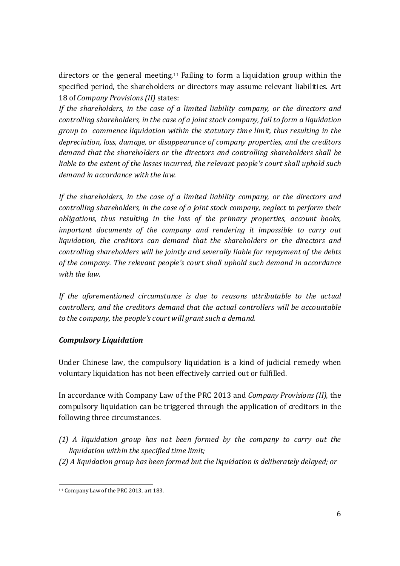directors or the general meeting.11 Failing to form a liquidation group within the specified period, the shareholders or directors may assume relevant liabilities. Art 18 of Company Provisions (II) states:

If the shareholders, in the case of a limited liability company, or the directors and controlling shareholders, in the case of a joint stock company, fail to form a liquidation group to commence liquidation within the statutory time limit, thus resulting in the depreciation, loss, damage, or disappearance of company properties, and the creditors demand that the shareholders or the directors and controlling shareholders shall be liable to the extent of the losses incurred, the relevant people's court shall uphold such demand in accordance with the law.

If the shareholders, in the case of a limited liability company, or the directors and controlling shareholders, in the case of a joint stock company, neglect to perform their obligations, thus resulting in the loss of the primary properties, account books, important documents of the company and rendering it impossible to carry out liquidation, the creditors can demand that the shareholders or the directors and controlling shareholders will be jointly and severally liable for repayment of the debts of the company. The relevant people's court shall uphold such demand in accordance with the law.

If the aforementioned circumstance is due to reasons attributable to the actual controllers, and the creditors demand that the actual controllers will be accountable to the company, the people's court will grant such a demand.

## Compulsory Liquidation

Under Chinese law, the compulsory liquidation is a kind of judicial remedy when voluntary liquidation has not been effectively carried out or fulfilled.

In accordance with Company Law of the PRC 2013 and Company Provisions (II), the compulsory liquidation can be triggered through the application of creditors in the following three circumstances.

- (1) A liquidation group has not been formed by the company to carry out the liquidation within the specified time limit;
- (2) A liquidation group has been formed but the liquidation is deliberately delayed; or

 $\overline{a}$ 11 Company Law of the PRC 2013, art 183.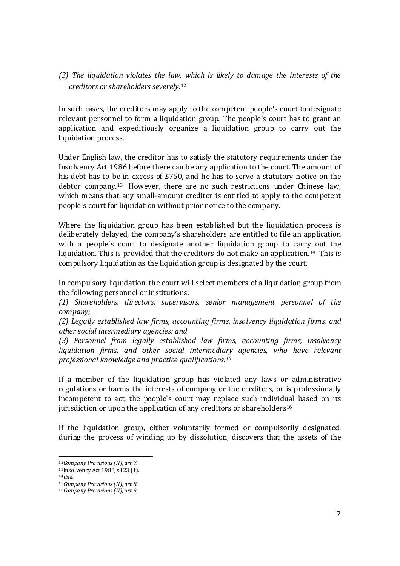(3) The liquidation violates the law, which is likely to damage the interests of the creditors or shareholders severely.<sup>12</sup>

In such cases, the creditors may apply to the competent people's court to designate relevant personnel to form a liquidation group. The people's court has to grant an application and expeditiously organize a liquidation group to carry out the liquidation process.

Under English law, the creditor has to satisfy the statutory requirements under the Insolvency Act 1986 before there can be any application to the court. The amount of his debt has to be in excess of £750, and he has to serve a statutory notice on the debtor company.<sup>13</sup> However, there are no such restrictions under Chinese law, which means that any small-amount creditor is entitled to apply to the competent people's court for liquidation without prior notice to the company.

Where the liquidation group has been established but the liquidation process is deliberately delayed, the company's shareholders are entitled to file an application with a people's court to designate another liquidation group to carry out the liquidation. This is provided that the creditors do not make an application.<sup>14</sup> This is compulsory liquidation as the liquidation group is designated by the court.

In compulsory liquidation, the court will select members of a liquidation group from the following personnel or institutions:

(1) Shareholders, directors, supervisors, senior management personnel of the company;

(2) Legally established law firms, accounting firms, insolvency liquidation firms, and other social intermediary agencies; and

(3) Personnel from legally established law firms, accounting firms, insolvency liquidation firms, and other social intermediary agencies, who have relevant professional knowledge and practice qualifications.<sup>15</sup>

If a member of the liquidation group has violated any laws or administrative regulations or harms the interests of company or the creditors, or is professionally incompetent to act, the people's court may replace such individual based on its jurisdiction or upon the application of any creditors or shareholders<sup>16</sup>

If the liquidation group, either voluntarily formed or compulsorily designated, during the process of winding up by dissolution, discovers that the assets of the

 $\overline{a}$ <sup>12</sup>Company Provisions (II), art 7.

<sup>13</sup>Insolvency Act 1986, s123 (1).

 $14$ ihid.

<sup>15</sup>Company Provisions (II), art 8.

<sup>16</sup>Company Provisions (II), art 9.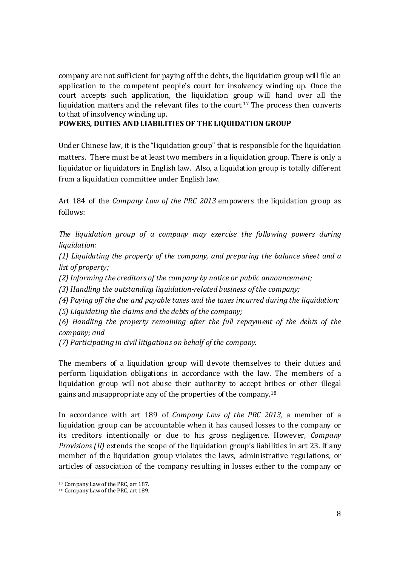company are not sufficient for paying off the debts, the liquidation group will file an application to the competent people's court for insolvency winding up. Once the court accepts such application, the liquidation group will hand over all the liquidation matters and the relevant files to the court.<sup>17</sup> The process then converts to that of insolvency winding up.

### POWERS, DUTIES AND LIABILITIES OF THE LIQUIDATION GROUP

Under Chinese law, it is the "liquidation group" that is responsible for the liquidation matters. There must be at least two members in a liquidation group. There is only a liquidator or liquidators in English law. Also, a liquidation group is totally different from a liquidation committee under English law.

Art 184 of the Company Law of the PRC 2013 empowers the liquidation group as follows:

The liquidation group of a company may exercise the following powers during liquidation:

(1) Liquidating the property of the company, and preparing the balance sheet and a list of property;

(2) Informing the creditors of the company by notice or public announcement;

(3) Handling the outstanding liquidation-related business of the company;

(4) Paying off the due and payable taxes and the taxes incurred during the liquidation;

(5) Liquidating the claims and the debts of the company;

(6) Handling the property remaining after the full repayment of the debts of the company; and

(7) Participating in civil litigations on behalf of the company.

The members of a liquidation group will devote themselves to their duties and perform liquidation obligations in accordance with the law. The members of a liquidation group will not abuse their authority to accept bribes or other illegal gains and misappropriate any of the properties of the company.<sup>18</sup>

In accordance with art 189 of Company Law of the PRC 2013, a member of a liquidation group can be accountable when it has caused losses to the company or its creditors intentionally or due to his gross negligence. However, Company Provisions (II) extends the scope of the liquidation group's liabilities in art 23. If any member of the liquidation group violates the laws, administrative regulations, or articles of association of the company resulting in losses either to the company or

 $\overline{a}$ <sup>17</sup> Company Law of the PRC, art 187.

<sup>18</sup> Company Law of the PRC, art 189.